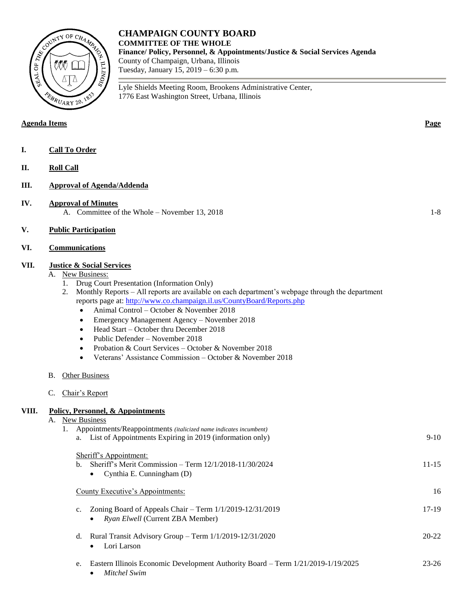

## **Agenda Items Page**

- **I. Call To Order**
- **II. Roll Call**

## **III. Approval of Agenda/Addenda**

- **IV. Approval of Minutes** A. Committee of the Whole – November 13, 2018 1-8
- **V. Public Participation**

# **VI. Communications**

### **VII. Justice & Social Services**

- A. New Business:
	- 1. Drug Court Presentation (Information Only)
	- 2. Monthly Reports All reports are available on each department's webpage through the department reports page at[: http://www.co.champaign.il.us/CountyBoard/Reports.php](http://www.co.champaign.il.us/CountyBoard/Reports.php)
		- Animal Control October & November 2018
		- Emergency Management Agency November 2018
		- Head Start October thru December 2018
		- Public Defender November 2018
		- Probation & Court Services October & November 2018
		- Veterans' Assistance Commission October & November 2018

**CHAMPAIGN COUNTY BOARD**

1776 East Washington Street, Urbana, Illinois

Lyle Shields Meeting Room, Brookens Administrative Center,

**Finance/ Policy, Personnel, & Appointments/Justice & Social Services Agenda**

**COMMITTEE OF THE WHOLE**

County of Champaign, Urbana, Illinois Tuesday, January 15, 2019 – 6:30 p.m.

- B. Other Business
- C. Chair's Report

## **VIII. Policy, Personnel, & Appointments**

| А. | New Business |                                                                                        |           |
|----|--------------|----------------------------------------------------------------------------------------|-----------|
|    |              | Appointments/Reappointments (italicized name indicates incumbent)                      |           |
|    |              | List of Appointments Expiring in 2019 (information only)<br>a.                         | $9-10$    |
|    |              |                                                                                        |           |
|    |              | Sheriff's Appointment:                                                                 |           |
|    |              | Sheriff's Merit Commission - Term 12/1/2018-11/30/2024<br>$h_{-}$                      | $11 - 15$ |
|    |              | Cynthia E. Cunningham (D)<br>$\bullet$                                                 |           |
|    |              |                                                                                        |           |
|    |              | County Executive's Appointments:                                                       | 16        |
|    |              |                                                                                        |           |
|    |              | Zoning Board of Appeals Chair – Term $1/1/2019 - 12/31/2019$<br>$\mathbf{c}$ .         | $17-19$   |
|    |              | <i>Ryan Elwell</i> (Current ZBA Member)<br>$\bullet$                                   |           |
|    |              |                                                                                        |           |
|    |              | Rural Transit Advisory Group – Term $1/1/2019 - 12/31/2020$<br>d.                      | $20 - 22$ |
|    |              | Lori Larson<br>$\bullet$                                                               |           |
|    |              |                                                                                        |           |
|    |              | Eastern Illinois Economic Development Authority Board – Term 1/21/2019-1/19/2025<br>e. | 23-26     |
|    |              | Mitchel Swim<br>٠                                                                      |           |
|    |              |                                                                                        |           |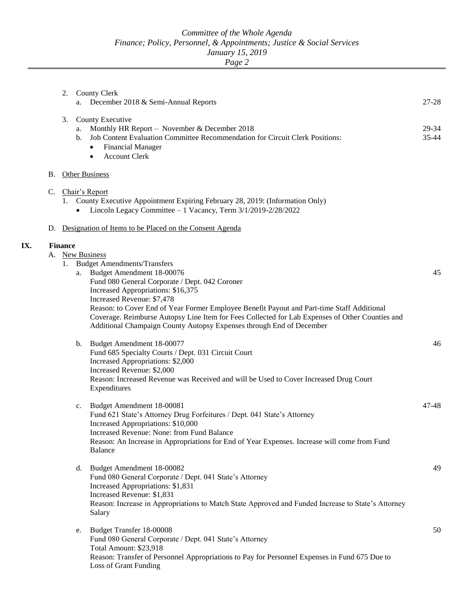*Page 2*

|    | 2.                   | <b>County Clerk</b><br>December 2018 & Semi-Annual Reports<br>a.                                                                                                                                                                                                                                                                                                                                                                                                                     | $27 - 28$      |
|----|----------------------|--------------------------------------------------------------------------------------------------------------------------------------------------------------------------------------------------------------------------------------------------------------------------------------------------------------------------------------------------------------------------------------------------------------------------------------------------------------------------------------|----------------|
|    | 3.                   | County Executive<br>Monthly HR Report - November & December 2018<br>a.<br>Job Content Evaluation Committee Recommendation for Circuit Clerk Positions:<br>b.<br><b>Financial Manager</b><br>$\bullet$<br><b>Account Clerk</b><br>٠                                                                                                                                                                                                                                                   | 29-34<br>35-44 |
| В. |                      | <b>Other Business</b>                                                                                                                                                                                                                                                                                                                                                                                                                                                                |                |
|    |                      | C. Chair's Report<br>1. County Executive Appointment Expiring February 28, 2019: (Information Only)<br>Lincoln Legacy Committee - 1 Vacancy, Term 3/1/2019-2/28/2022                                                                                                                                                                                                                                                                                                                 |                |
|    |                      | D. Designation of Items to be Placed on the Consent Agenda                                                                                                                                                                                                                                                                                                                                                                                                                           |                |
|    | <b>Finance</b><br>1. | A. New Business<br><b>Budget Amendments/Transfers</b><br>a. Budget Amendment 18-00076<br>Fund 080 General Corporate / Dept. 042 Coroner<br>Increased Appropriations: \$16,375<br>Increased Revenue: \$7,478<br>Reason: to Cover End of Year Former Employee Benefit Payout and Part-time Staff Additional<br>Coverage. Reimburse Autopsy Line Item for Fees Collected for Lab Expenses of Other Counties and<br>Additional Champaign County Autopsy Expenses through End of December | 45             |
|    |                      | Budget Amendment 18-00077<br>b.<br>Fund 685 Specialty Courts / Dept. 031 Circuit Court<br>Increased Appropriations: \$2,000<br>Increased Revenue: \$2,000<br>Reason: Increased Revenue was Received and will be Used to Cover Increased Drug Court<br>Expenditures                                                                                                                                                                                                                   | 46             |
|    |                      | Budget Amendment 18-00081<br>c.<br>Fund 621 State's Attorney Drug Forfeitures / Dept. 041 State's Attorney<br>Increased Appropriations: \$10,000<br>Increased Revenue: None: from Fund Balance<br>Reason: An Increase in Appropriations for End of Year Expenses. Increase will come from Fund<br><b>Balance</b>                                                                                                                                                                     | 47-48          |
|    |                      | Budget Amendment 18-00082<br>d.<br>Fund 080 General Corporate / Dept. 041 State's Attorney<br>Increased Appropriations: \$1,831<br>Increased Revenue: \$1,831<br>Reason: Increase in Appropriations to Match State Approved and Funded Increase to State's Attorney<br>Salary                                                                                                                                                                                                        | 49             |
|    |                      | Budget Transfer 18-00008<br>e.<br>Fund 080 General Corporate / Dept. 041 State's Attorney<br>Total Amount: \$23,918<br>Reason: Transfer of Personnel Appropriations to Pay for Personnel Expenses in Fund 675 Due to<br>Loss of Grant Funding                                                                                                                                                                                                                                        | 50             |

**IX.**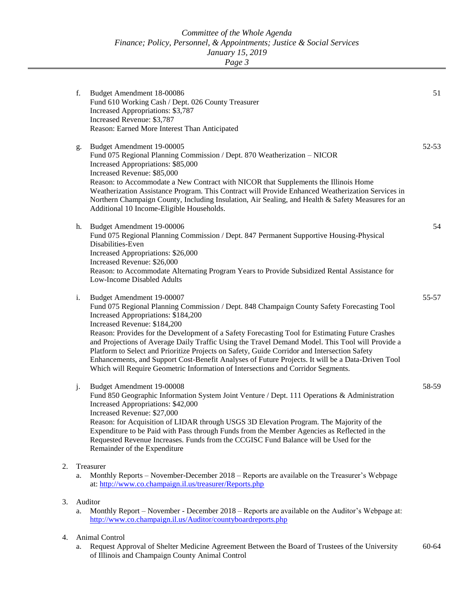*Page 3*

|    | f. | Budget Amendment 18-00086<br>Fund 610 Working Cash / Dept. 026 County Treasurer<br>Increased Appropriations: \$3,787<br>Increased Revenue: \$3,787<br>Reason: Earned More Interest Than Anticipated                                                                                                                                                                                                                                                                                                                                                                                                                                                                                            | 51        |
|----|----|------------------------------------------------------------------------------------------------------------------------------------------------------------------------------------------------------------------------------------------------------------------------------------------------------------------------------------------------------------------------------------------------------------------------------------------------------------------------------------------------------------------------------------------------------------------------------------------------------------------------------------------------------------------------------------------------|-----------|
|    | g. | Budget Amendment 19-00005<br>Fund 075 Regional Planning Commission / Dept. 870 Weatherization - NICOR<br>Increased Appropriations: \$85,000<br>Increased Revenue: \$85,000<br>Reason: to Accommodate a New Contract with NICOR that Supplements the Illinois Home<br>Weatherization Assistance Program. This Contract will Provide Enhanced Weatherization Services in<br>Northern Champaign County, Including Insulation, Air Sealing, and Health & Safety Measures for an<br>Additional 10 Income-Eligible Households.                                                                                                                                                                       | 52-53     |
|    | h. | Budget Amendment 19-00006<br>Fund 075 Regional Planning Commission / Dept. 847 Permanent Supportive Housing-Physical<br>Disabilities-Even<br>Increased Appropriations: \$26,000<br>Increased Revenue: \$26,000<br>Reason: to Accommodate Alternating Program Years to Provide Subsidized Rental Assistance for<br>Low-Income Disabled Adults                                                                                                                                                                                                                                                                                                                                                   | 54        |
|    | i. | Budget Amendment 19-00007<br>Fund 075 Regional Planning Commission / Dept. 848 Champaign County Safety Forecasting Tool<br>Increased Appropriations: \$184,200<br>Increased Revenue: \$184,200<br>Reason: Provides for the Development of a Safety Forecasting Tool for Estimating Future Crashes<br>and Projections of Average Daily Traffic Using the Travel Demand Model. This Tool will Provide a<br>Platform to Select and Prioritize Projects on Safety, Guide Corridor and Intersection Safety<br>Enhancements, and Support Cost-Benefit Analyses of Future Projects. It will be a Data-Driven Tool<br>Which will Require Geometric Information of Intersections and Corridor Segments. | 55-57     |
|    | j. | Budget Amendment 19-00008<br>Fund 850 Geographic Information System Joint Venture / Dept. 111 Operations & Administration<br>Increased Appropriations: \$42,000<br>Increased Revenue: \$27,000<br>Reason: for Acquisition of LIDAR through USGS 3D Elevation Program. The Majority of the<br>Expenditure to be Paid with Pass through Funds from the Member Agencies as Reflected in the<br>Requested Revenue Increases. Funds from the CCGISC Fund Balance will be Used for the<br>Remainder of the Expenditure                                                                                                                                                                               | 58-59     |
| 2. | a. | Treasurer<br>Monthly Reports – November-December 2018 – Reports are available on the Treasurer's Webpage<br>at: http://www.co.champaign.il.us/treasurer/Reports.php                                                                                                                                                                                                                                                                                                                                                                                                                                                                                                                            |           |
| 3. | a. | Auditor<br>Monthly Report – November - December 2018 – Reports are available on the Auditor's Webpage at:<br>http://www.co.champaign.il.us/Auditor/countyboardreports.php                                                                                                                                                                                                                                                                                                                                                                                                                                                                                                                      |           |
| 4. | a. | Animal Control<br>Request Approval of Shelter Medicine Agreement Between the Board of Trustees of the University<br>of Illinois and Champaign County Animal Control                                                                                                                                                                                                                                                                                                                                                                                                                                                                                                                            | $60 - 64$ |